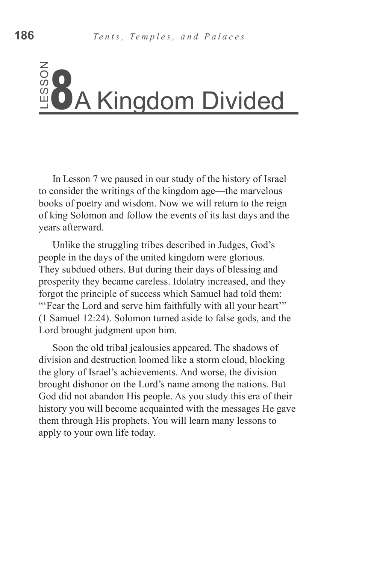In Lesson 7 we paused in our study of the history of Israel to consider the writings of the kingdom age—the marvelous books of poetry and wisdom. Now we will return to the reign of king Solomon and follow the events of its last days and the years afterward.

Unlike the struggling tribes described in Judges, God's people in the days of the united kingdom were glorious. They subdued others. But during their days of blessing and prosperity they became careless. Idolatry increased, and they forgot the principle of success which Samuel had told them: "'Fear the Lord and serve him faithfully with all your heart'" (1 Samuel 12:24). Solomon turned aside to false gods, and the Lord brought judgment upon him.

Soon the old tribal jealousies appeared. The shadows of division and destruction loomed like a storm cloud, blocking the glory of Israel's achievements. And worse, the division brought dishonor on the Lord's name among the nations. But God did not abandon His people. As you study this era of their history you will become acquainted with the messages He gave them through His prophets. You will learn many lessons to Example 1<br>
In Lesson 7 we paused in our study of the history of Israe<br>
to consider the writings of the kingdom age—the marvelous<br>
books of poetry and wisdom. Now we will return to the reign<br>
of king Solomon and follow the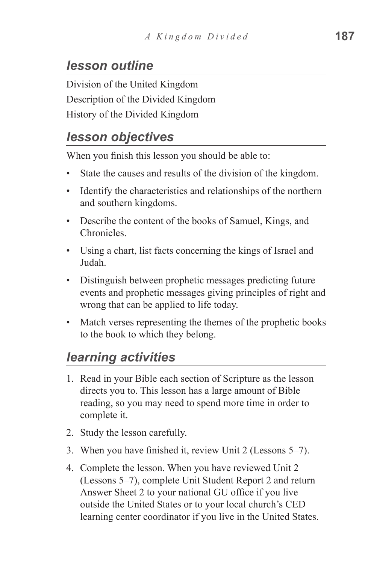# *lesson outline*

Division of the United Kingdom Description of the Divided Kingdom History of the Divided Kingdom

# *lesson objectives*

When you finish this lesson you should be able to:

- State the causes and results of the division of the kingdom.
- Identify the characteristics and relationships of the northern and southern kingdoms.
- Describe the content of the books of Samuel, Kings, and Chronicles.
- Using a chart, list facts concerning the kings of Israel and Judah.
- Distinguish between prophetic messages predicting future events and prophetic messages giving principles of right and wrong that can be applied to life today.
- Match verses representing the themes of the prophetic books to the book to which they belong.

# *learning activities*

- 1. Read in your Bible each section of Scripture as the lesson directs you to. This lesson has a large amount of Bible reading, so you may need to spend more time in order to complete it.
- 2. Study the lesson carefully.
- 3. When you have finished it, review Unit 2 (Lessons 5–7).
- 4. Complete the lesson. When you have reviewed Unit 2 (Lessons 5–7), complete Unit Student Report 2 and return Answer Sheet 2 to your national GU office if you live outside the United States or to your local church's CED learning center coordinator if you live in the United States.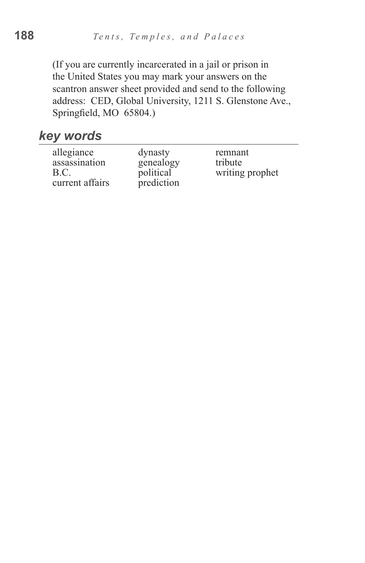(If you are currently incarcerated in a jail or prison in the United States you may mark your answers on the scantron answer sheet provided and send to the following address: CED, Global University, 1211 S. Glenstone Ave., Springfield, MO 65804.)

#### *key words*

| allegiance      | dynasty    | remnant         |
|-----------------|------------|-----------------|
| assassination   | genealogy  | tribute         |
| B.C.            | political  | writing prophet |
| current affairs | prediction |                 |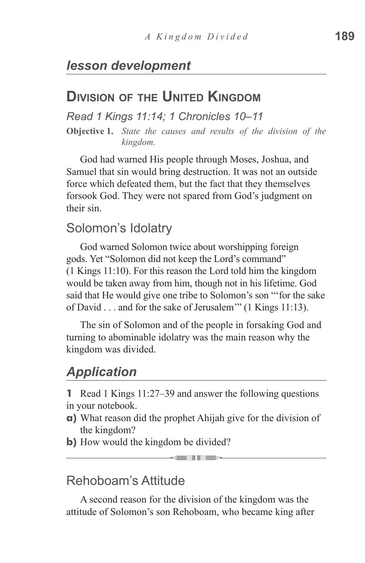## **Division of the United Kingdom**

*Read 1 Kings 11:14; 1 Chronicles 10–11*

**Objective 1.** *State the causes and results of the division of the kingdom.*

God had warned His people through Moses, Joshua, and Samuel that sin would bring destruction. It was not an outside force which defeated them, but the fact that they themselves forsook God. They were not spared from God's judgment on their sin.

#### Solomon's Idolatry

God warned Solomon twice about worshipping foreign gods. Yet "Solomon did not keep the Lord's command" (1 Kings 11:10). For this reason the Lord told him the kingdom would be taken away from him, though not in his lifetime. God said that He would give one tribe to Solomon's son "'for the sake of David . . . and for the sake of Jerusalem'" (1 Kings 11:13).

The sin of Solomon and of the people in forsaking God and turning to abominable idolatry was the main reason why the kingdom was divided.

# *Application*

**1** Read 1 Kings 11:27–39 and answer the following questions in your notebook.

**a)** What reason did the prophet Ahijah give for the division of the kingdom?

an in die

**b**) How would the kingdom be divided?

#### Rehoboam's Attitude

A second reason for the division of the kingdom was the attitude of Solomon's son Rehoboam, who became king after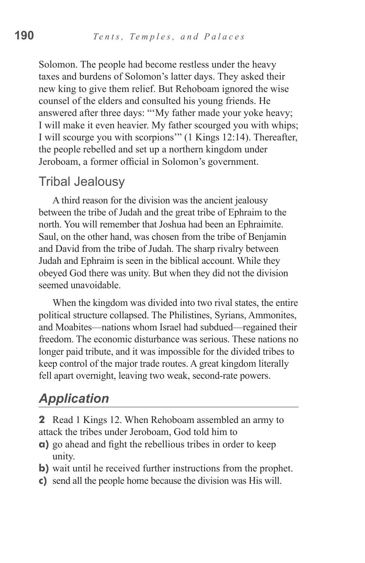Solomon. The people had become restless under the heavy taxes and burdens of Solomon's latter days. They asked their new king to give them relief. But Rehoboam ignored the wise counsel of the elders and consulted his young friends. He answered after three days: "'My father made your yoke heavy; I will make it even heavier. My father scourged you with whips; I will scourge you with scorpions'" (1 Kings 12:14). Thereafter, the people rebelled and set up a northern kingdom under Jeroboam, a former official in Solomon's government.

#### Tribal Jealousy

A third reason for the division was the ancient jealousy between the tribe of Judah and the great tribe of Ephraim to the north. You will remember that Joshua had been an Ephraimite. Saul, on the other hand, was chosen from the tribe of Benjamin and David from the tribe of Judah. The sharp rivalry between Judah and Ephraim is seen in the biblical account. While they obeyed God there was unity. But when they did not the division seemed unavoidable.

When the kingdom was divided into two rival states, the entire political structure collapsed. The Philistines, Syrians, Ammonites, and Moabites—nations whom Israel had subdued—regained their freedom. The economic disturbance was serious. These nations no longer paid tribute, and it was impossible for the divided tribes to keep control of the major trade routes. A great kingdom literally fell apart overnight, leaving two weak, second-rate powers.

## *Application*

**2** Read 1 Kings 12. When Rehoboam assembled an army to attack the tribes under Jeroboam, God told him to

- **a)** go ahead and fight the rebellious tribes in order to keep unity.
- **b)** wait until he received further instructions from the prophet.
- **c)** send all the people home because the division was His will.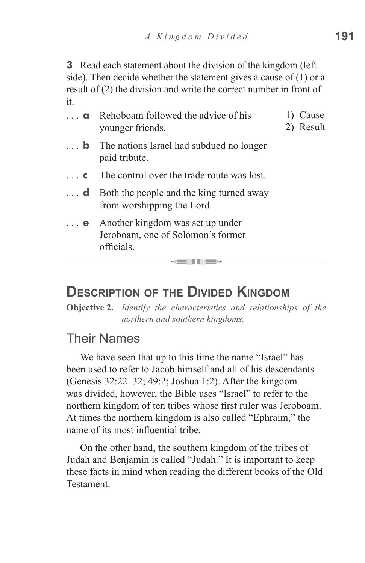**3** Read each statement about the division of the kingdom (left side). Then decide whether the statement gives a cause of (1) or a result of (2) the division and write the correct number in front of it.

| Rehoboam followed the advice of his<br>younger friends.                             | Cause<br>2) Result |
|-------------------------------------------------------------------------------------|--------------------|
| $\ldots$ <b>b</b> The nations Israel had subdued no longer<br>paid tribute.         |                    |
| The control over the trade route was lost.                                          |                    |
| Both the people and the king turned away<br>from worshipping the Lord.              |                    |
| Another kingdom was set up under<br>Jeroboam, one of Solomon's former<br>officials. |                    |
|                                                                                     |                    |

#### **Description of the Divided Kingdom**

**Objective 2.** *Identify the characteristics and relationships of the northern and southern kingdoms.*

\_\_\_\_

#### Their Names

We have seen that up to this time the name "Israel" has been used to refer to Jacob himself and all of his descendants (Genesis 32:22–32; 49:2; Joshua 1:2). After the kingdom was divided, however, the Bible uses "Israel" to refer to the northern kingdom of ten tribes whose first ruler was Jeroboam. At times the northern kingdom is also called "Ephraim," the name of its most influential tribe.

On the other hand, the southern kingdom of the tribes of Judah and Benjamin is called "Judah." It is important to keep these facts in mind when reading the different books of the Old **Testament**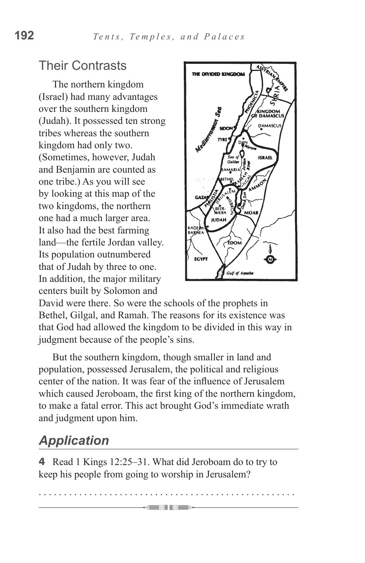# Their Contrasts

The northern kingdom (Israel) had many advantages over the southern kingdom (Judah). It possessed ten strong tribes whereas the southern kingdom had only two. (Sometimes, however, Judah and Benjamin are counted as one tribe.) As you will see by looking at this map of the two kingdoms, the northern one had a much larger area. It also had the best farming land—the fertile Jordan valley. Its population outnumbered that of Judah by three to one. In addition, the major military centers built by Solomon and



David were there. So were the schools of the prophets in Bethel, Gilgal, and Ramah. The reasons for its existence was that God had allowed the kingdom to be divided in this way in judgment because of the people's sins.

But the southern kingdom, though smaller in land and population, possessed Jerusalem, the political and religious center of the nation. It was fear of the influence of Jerusalem which caused Jeroboam, the first king of the northern kingdom, to make a fatal error. This act brought God's immediate wrath and judgment upon him.

# *Application*

**4** Read 1 Kings 12:25–31. What did Jeroboam do to try to keep his people from going to worship in Jerusalem?

. . . . . . . . . . . . . . . . . . . . . . . . . . . . . . . . . . . . . . . . . . . . . . . . . . .

 $=$  110  $=$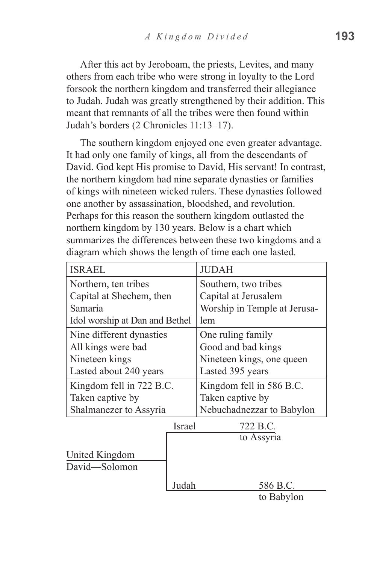After this act by Jeroboam, the priests, Levites, and many others from each tribe who were strong in loyalty to the Lord forsook the northern kingdom and transferred their allegiance to Judah. Judah was greatly strengthened by their addition. This meant that remnants of all the tribes were then found within Judah's borders (2 Chronicles 11:13–17).

The southern kingdom enjoyed one even greater advantage. It had only one family of kings, all from the descendants of David. God kept His promise to David, His servant! In contrast, the northern kingdom had nine separate dynasties or families of kings with nineteen wicked rulers. These dynasties followed one another by assassination, bloodshed, and revolution. Perhaps for this reason the southern kingdom outlasted the northern kingdom by 130 years. Below is a chart which summarizes the differences between these two kingdoms and a diagram which shows the length of time each one lasted.

| <b>ISRAEL</b>                  |        | <b>JUDAH</b>                 |  |  |
|--------------------------------|--------|------------------------------|--|--|
| Northern, ten tribes           |        | Southern, two tribes         |  |  |
| Capital at Shechem, then       |        | Capital at Jerusalem         |  |  |
| Samaria                        |        | Worship in Temple at Jerusa- |  |  |
| Idol worship at Dan and Bethel |        | lem                          |  |  |
| Nine different dynasties       |        | One ruling family            |  |  |
| All kings were bad             |        | Good and bad kings           |  |  |
| Nineteen kings                 |        | Nineteen kings, one queen    |  |  |
| Lasted about 240 years         |        | Lasted 395 years             |  |  |
| Kingdom fell in 722 B.C.       |        | Kingdom fell in 586 B.C.     |  |  |
| Taken captive by               |        | Taken captive by             |  |  |
| Shalmanezer to Assyria         |        | Nebuchadnezzar to Babylon    |  |  |
|                                | Israel | 722 B.C.                     |  |  |
|                                |        | to Assyria                   |  |  |
| United Kingdom                 |        |                              |  |  |
| David-Solomon                  |        |                              |  |  |
|                                | Judah  | 586 B.C.                     |  |  |
|                                |        | to Babylon                   |  |  |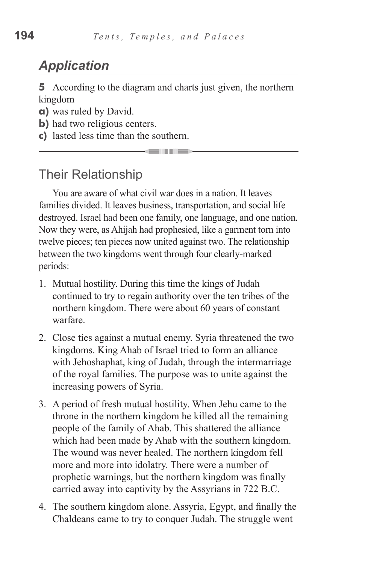# *Application*

**5** According to the diagram and charts just given, the northern kingdom

والمراجع

- **a)** was ruled by David.
- **b**) had two religious centers.
- **c)** lasted less time than the southern.

#### Their Relationship

You are aware of what civil war does in a nation. It leaves families divided. It leaves business, transportation, and social life destroyed. Israel had been one family, one language, and one nation. Now they were, as Ahijah had prophesied, like a garment torn into twelve pieces; ten pieces now united against two. The relationship between the two kingdoms went through four clearly-marked periods:

- 1. Mutual hostility. During this time the kings of Judah continued to try to regain authority over the ten tribes of the northern kingdom. There were about 60 years of constant warfare.
- 2. Close ties against a mutual enemy. Syria threatened the two kingdoms. King Ahab of Israel tried to form an alliance with Jehoshaphat, king of Judah, through the intermarriage of the royal families. The purpose was to unite against the increasing powers of Syria.
- 3. A period of fresh mutual hostility. When Jehu came to the throne in the northern kingdom he killed all the remaining people of the family of Ahab. This shattered the alliance which had been made by Ahab with the southern kingdom. The wound was never healed. The northern kingdom fell more and more into idolatry. There were a number of prophetic warnings, but the northern kingdom was finally carried away into captivity by the Assyrians in 722 B.C.
- 4. The southern kingdom alone. Assyria, Egypt, and finally the Chaldeans came to try to conquer Judah. The struggle went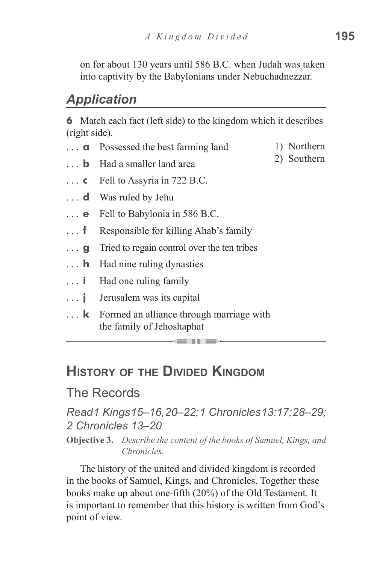on for about 130 years until 586 B.C. when Judah was taken into captivity by the Babylonians under Nebuchadnezzar.

#### *Application*

**6** Match each fact (left side) to the kingdom which it describes (right side).

- **a** Possessed the best farming land 1) Northern 2) Southern
- **b** Had a smaller land area
- **c**  Fell to Assyria in 722 B.C.
- **d** Was ruled by Jehu
- **e** Fell to Babylonia in 586 B.C.
- **f** Responsible for killing Ahab's family
- **g** Tried to regain control over the ten tribes
- **h** Had nine ruling dynasties
- **i** Had one ruling family
- **j** Jerusalem was its capital
- **k** Formed an alliance through marriage with the family of Jehoshaphat

# **History of the Divided Kingdom**

#### The Records

#### *Read 1 Kings 15–16, 20–22; 1 Chronicles 13:17; 28–29; 2 Chronicles 13–20*

million

**Objective 3.** *Describe the content of the books of Samuel, Kings, and Chronicles.*

The history of the united and divided kingdom is recorded in the books of Samuel, Kings, and Chronicles. Together these books make up about one-fifth (20%) of the Old Testament. It is important to remember that this history is written from God's point of view.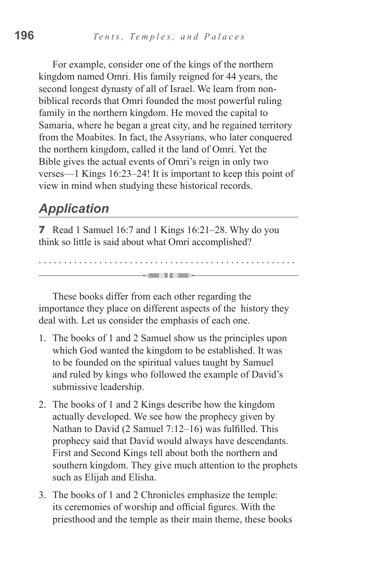For example, consider one of the kings of the northern kingdom named Omri. His family reigned for 44 years, the second longest dynasty of all of Israel. We learn from nonbiblical records that Omri founded the most powerful ruling family in the northern kingdom. He moved the capital to Samaria, where he began a great city, and he regained territory from the Moabites. In fact, the Assyrians, who later conquered the northern kingdom, called it the land of Omri. Yet the Bible gives the actual events of Omri's reign in only two verses—1 Kings 16:23–24! It is important to keep this point of view in mind when studying these historical records.

# *Application*

**7** Read 1 Samuel 16:7 and 1 Kings 16:21–28. Why do you think so little is said about what Omri accomplished?

These books differ from each other regarding the importance they place on different aspects of the history they deal with. Let us consider the emphasis of each one.

. . . . . . . . . . . . . . . . . . . . . . . . . . . . . . . . . . . . . . . . . . . . . . . . . . .

a se se control de la parte de la parte de

- 1. The books of 1 and 2 Samuel show us the principles upon which God wanted the kingdom to be established. It was to be founded on the spiritual values taught by Samuel and ruled by kings who followed the example of David's submissive leadership.
- 2. The books of 1 and 2 Kings describe how the kingdom actually developed. We see how the prophecy given by Nathan to David (2 Samuel 7:12–16) was fulfilled. This prophecy said that David would always have descendants. First and Second Kings tell about both the northern and southern kingdom. They give much attention to the prophets such as Elijah and Elisha.
- 3. The books of 1 and 2 Chronicles emphasize the temple: its ceremonies of worship and official figures. With the priesthood and the temple as their main theme, these books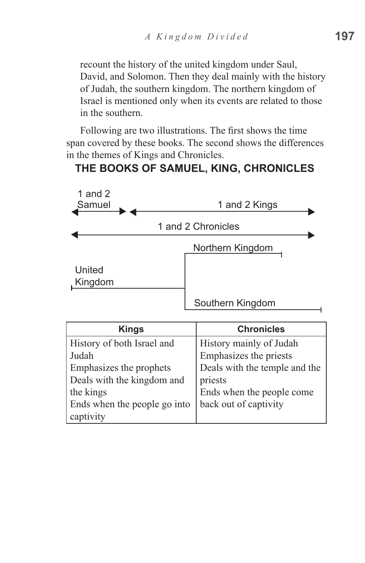recount the history of the united kingdom under Saul, David, and Solomon. Then they deal mainly with the history of Judah, the southern kingdom. The northern kingdom of Israel is mentioned only when its events are related to those in the southern.

Following are two illustrations. The first shows the time span covered by these books. The second shows the differences in the themes of Kings and Chronicles.

#### **THE BOOKS OF SAMUEL, KING, CHRONICLES**

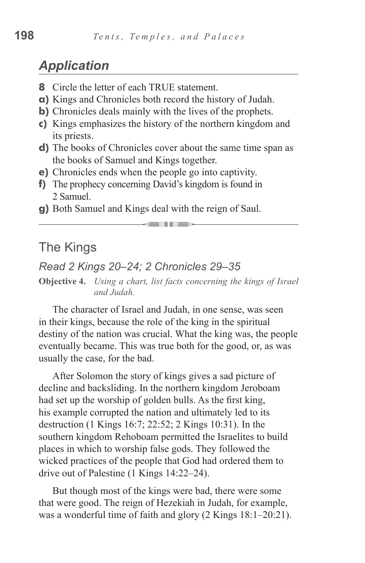## *Application*

- **8** Circle the letter of each TRUE statement.
- **a)** Kings and Chronicles both record the history of Judah.
- **b)** Chronicles deals mainly with the lives of the prophets.
- **c)** Kings emphasizes the history of the northern kingdom and its priests.
- **d)** The books of Chronicles cover about the same time span as the books of Samuel and Kings together.
- **e)** Chronicles ends when the people go into captivity.
- **f)** The prophecy concerning David's kingdom is found in 2 Samuel.
- **g)** Both Samuel and Kings deal with the reign of Saul.

#### The Kings

#### *Read 2 Kings 20–24; 2 Chronicles 29–35*

**Objective 4.** *Using a chart, list facts concerning the kings of Israel and Judah.*

<u> Hermann Schwaltz und der Berger und der Berger und der Berger und diese Einstehnung und der Entstehnung und d</u>

The character of Israel and Judah, in one sense, was seen in their kings, because the role of the king in the spiritual destiny of the nation was crucial. What the king was, the people eventually became. This was true both for the good, or, as was usually the case, for the bad.

After Solomon the story of kings gives a sad picture of decline and backsliding. In the northern kingdom Jeroboam had set up the worship of golden bulls. As the first king, his example corrupted the nation and ultimately led to its destruction (1 Kings 16:7; 22:52; 2 Kings 10:31). In the southern kingdom Rehoboam permitted the Israelites to build places in which to worship false gods. They followed the wicked practices of the people that God had ordered them to drive out of Palestine (1 Kings 14:22–24).

But though most of the kings were bad, there were some that were good. The reign of Hezekiah in Judah, for example, was a wonderful time of faith and glory (2 Kings 18:1–20:21).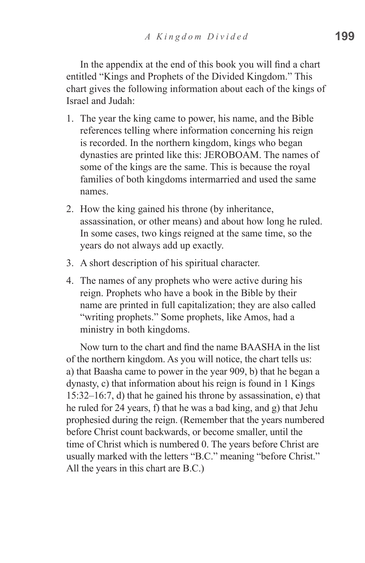In the appendix at the end of this book you will find a chart entitled "Kings and Prophets of the Divided Kingdom." This chart gives the following information about each of the kings of Israel and Judah:

- 1. The year the king came to power, his name, and the Bible references telling where information concerning his reign is recorded. In the northern kingdom, kings who began dynasties are printed like this: JEROBOAM. The names of some of the kings are the same. This is because the royal families of both kingdoms intermarried and used the same names.
- 2. How the king gained his throne (by inheritance, assassination, or other means) and about how long he ruled. In some cases, two kings reigned at the same time, so the years do not always add up exactly.
- 3. A short description of his spiritual character.
- 4. The names of any prophets who were active during his reign. Prophets who have a book in the Bible by their name are printed in full capitalization; they are also called "writing prophets." Some prophets, like Amos, had a ministry in both kingdoms.

Now turn to the chart and find the name BAASHA in the list of the northern kingdom. As you will notice, the chart tells us: a) that Baasha came to power in the year 909, b) that he began a dynasty, c) that information about his reign is found in 1 Kings 15:32–16:7, d) that he gained his throne by assassination, e) that he ruled for 24 years, f) that he was a bad king, and g) that Jehu prophesied during the reign. (Remember that the years numbered before Christ count backwards, or become smaller, until the time of Christ which is numbered 0. The years before Christ are usually marked with the letters "B.C." meaning "before Christ." All the years in this chart are B.C.)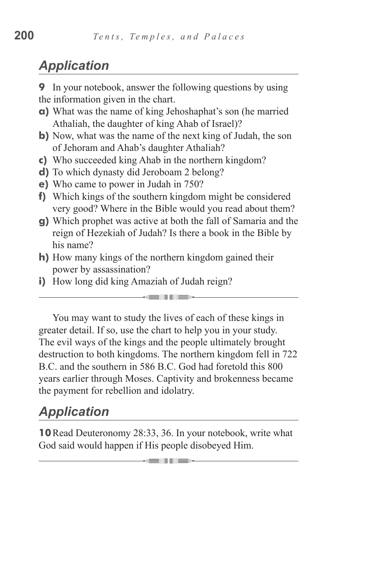# *Application*

**9** In your notebook, answer the following questions by using the information given in the chart.

- **a)** What was the name of king Jehoshaphat's son (he married Athaliah, the daughter of king Ahab of Israel)?
- **b)** Now, what was the name of the next king of Judah, the son of Jehoram and Ahab's daughter Athaliah?
- **c)** Who succeeded king Ahab in the northern kingdom?
- **d)** To which dynasty did Jeroboam 2 belong?
- **e)** Who came to power in Judah in 750?
- **f)** Which kings of the southern kingdom might be considered very good? Where in the Bible would you read about them?
- **g)** Which prophet was active at both the fall of Samaria and the reign of Hezekiah of Judah? Is there a book in the Bible by his name?
- **h)** How many kings of the northern kingdom gained their power by assassination?
- **i)** How long did king Amaziah of Judah reign?

You may want to study the lives of each of these kings in greater detail. If so, use the chart to help you in your study. The evil ways of the kings and the people ultimately brought destruction to both kingdoms. The northern kingdom fell in 722 B.C. and the southern in 586 B.C. God had foretold this 800 years earlier through Moses. Captivity and brokenness became the payment for rebellion and idolatry.

a Tim

# *Application*

**10**Read Deuteronomy 28:33, 36. In your notebook, write what God said would happen if His people disobeyed Him.

<u>million</u>.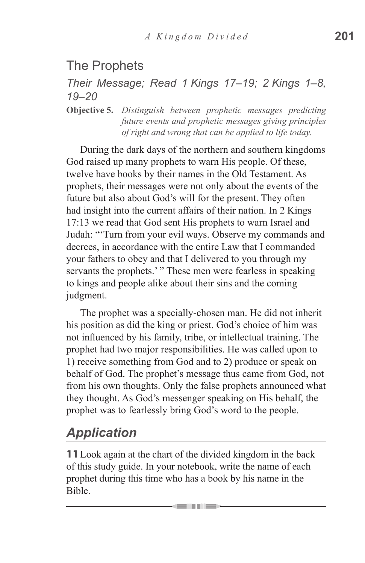# The Prophets

#### *Their Message; Read 1 Kings 17–19; 2 Kings 1–8, 19–20*

**Objective 5.** *Distinguish between prophetic messages predicting future events and prophetic messages giving principles of right and wrong that can be applied to life today.*

During the dark days of the northern and southern kingdoms God raised up many prophets to warn His people. Of these, twelve have books by their names in the Old Testament. As prophets, their messages were not only about the events of the future but also about God's will for the present. They often had insight into the current affairs of their nation. In 2 Kings 17:13 we read that God sent His prophets to warn Israel and Judah: "'Turn from your evil ways. Observe my commands and decrees, in accordance with the entire Law that I commanded your fathers to obey and that I delivered to you through my servants the prophets.' " These men were fearless in speaking to kings and people alike about their sins and the coming judgment.

The prophet was a specially-chosen man. He did not inherit his position as did the king or priest. God's choice of him was not influenced by his family, tribe, or intellectual training. The prophet had two major responsibilities. He was called upon to 1) receive something from God and to 2) produce or speak on behalf of God. The prophet's message thus came from God, not from his own thoughts. Only the false prophets announced what they thought. As God's messenger speaking on His behalf, the prophet was to fearlessly bring God's word to the people.

# *Application*

**11**Look again at the chart of the divided kingdom in the back of this study guide. In your notebook, write the name of each prophet during this time who has a book by his name in the Bible.

an an am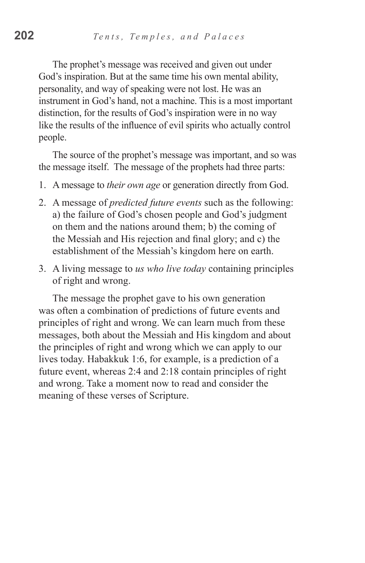The prophet's message was received and given out under God's inspiration. But at the same time his own mental ability, personality, and way of speaking were not lost. He was an instrument in God's hand, not a machine. This is a most important distinction, for the results of God's inspiration were in no way like the results of the influence of evil spirits who actually control people.

The source of the prophet's message was important, and so was the message itself. The message of the prophets had three parts:

- 1. A message to *their own age* or generation directly from God.
- 2. A message of *predicted future events* such as the following: a) the failure of God's chosen people and God's judgment on them and the nations around them; b) the coming of the Messiah and His rejection and final glory; and c) the establishment of the Messiah's kingdom here on earth.
- 3. A living message to *us who live today* containing principles of right and wrong.

The message the prophet gave to his own generation was often a combination of predictions of future events and principles of right and wrong. We can learn much from these messages, both about the Messiah and His kingdom and about the principles of right and wrong which we can apply to our lives today. Habakkuk 1:6, for example, is a prediction of a future event, whereas 2:4 and 2:18 contain principles of right and wrong. Take a moment now to read and consider the meaning of these verses of Scripture.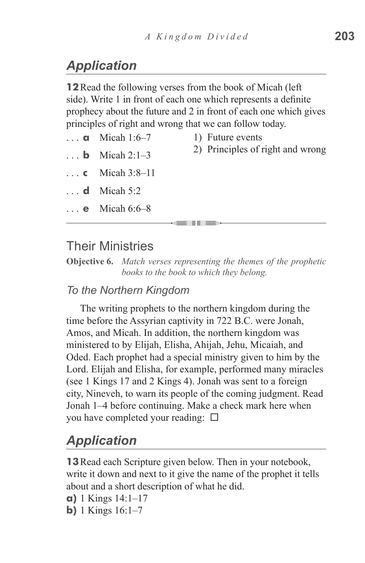# *Application*

**12**Read the following verses from the book of Micah (left side). Write 1 in front of each one which represents a definite prophecy about the future and 2 in front of each one which gives principles of right and wrong that we can follow today.

- $\ldots$  **a** Micah 1:6–7
- 1) Future events
- **b** Micah  $2 \cdot 1 3$
- **c**  Micah 3:8–11
- $\ldots$  **d** Micah 5:2
- $\ldots$  **e** Micah 6:6–8

2) Principles of right and wrong

#### Their Ministries

**Objective 6.** *Match verses representing the themes of the prophetic books to the book to which they belong.*

#### *To the Northern Kingdom*

The writing prophets to the northern kingdom during the time before the Assyrian captivity in 722 B.C. were Jonah, Amos, and Micah. In addition, the northern kingdom was ministered to by Elijah, Elisha, Ahijah, Jehu, Micaiah, and Oded. Each prophet had a special ministry given to him by the Lord. Elijah and Elisha, for example, performed many miracles (see 1 Kings 17 and 2 Kings 4). Jonah was sent to a foreign city, Nineveh, to warn its people of the coming judgment. Read Jonah 1–4 before continuing. Make a check mark here when you have completed your reading:  $\square$ 

## *Application*

**13**Read each Scripture given below. Then in your notebook, write it down and next to it give the name of the prophet it tells about and a short description of what he did.

```
a) 1 Kings 14:1–17
```
**b)** 1 Kings 16:1–7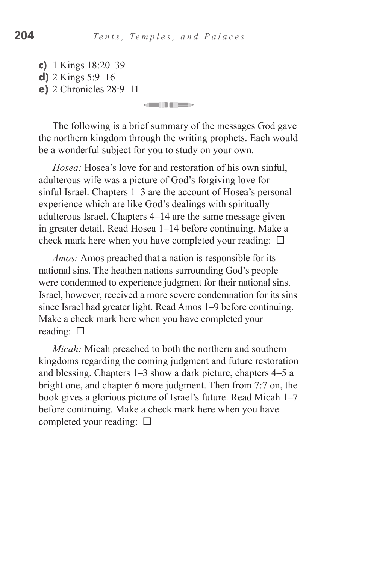- **c)** 1 Kings 18:20–39
- **d)** 2 Kings 5:9–16
- **e)** 2 Chronicles 28:9–11

The following is a brief summary of the messages God gave the northern kingdom through the writing prophets. Each would be a wonderful subject for you to study on your own.

*Hosea:* Hosea's love for and restoration of his own sinful, adulterous wife was a picture of God's forgiving love for sinful Israel. Chapters 1–3 are the account of Hosea's personal experience which are like God's dealings with spiritually adulterous Israel. Chapters 4–14 are the same message given in greater detail. Read Hosea 1–14 before continuing. Make a check mark here when you have completed your reading:  $\square$ 

*Amos:* Amos preached that a nation is responsible for its national sins. The heathen nations surrounding God's people were condemned to experience judgment for their national sins. Israel, however, received a more severe condemnation for its sins since Israel had greater light. Read Amos 1–9 before continuing. Make a check mark here when you have completed your reading:  $\square$ 

*Micah:* Micah preached to both the northern and southern kingdoms regarding the coming judgment and future restoration and blessing. Chapters 1–3 show a dark picture, chapters 4–5 a bright one, and chapter 6 more judgment. Then from 7:7 on, the book gives a glorious picture of Israel's future. Read Micah 1–7 before continuing. Make a check mark here when you have completed your reading:  $\square$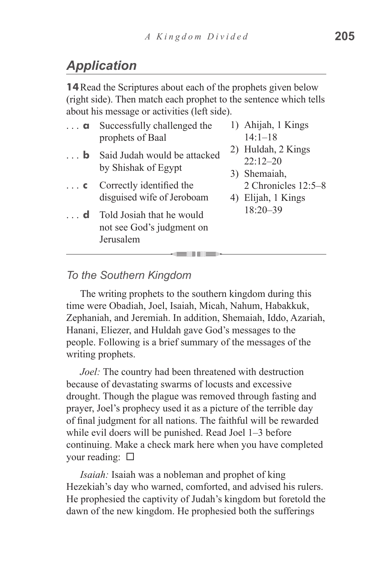# *Application*

**14**Read the Scriptures about each of the prophets given below (right side). Then match each prophet to the sentence which tells about his message or activities (left side).

| . <b>a</b> | Successfully challenged the                                         | 1) Ahijah, 1 Kings<br>$14:1 - 18$ |
|------------|---------------------------------------------------------------------|-----------------------------------|
|            | prophets of Baal                                                    |                                   |
| $\ldots$ b | Said Judah would be attacked                                        | 2) Huldah, 2 Kings                |
|            | by Shishak of Egypt                                                 | $22:12 - 20$                      |
|            |                                                                     | 3) Shemaiah,                      |
| $\ldots$ C | Correctly identified the                                            | 2 Chronicles 12:5-8               |
|            | disguised wife of Jeroboam                                          | 4) Elijah, 1 Kings                |
| - d        | Told Josiah that he would<br>not see God's judgment on<br>Jerusalem | $18:20 - 39$                      |
|            |                                                                     |                                   |

#### *To the Southern Kingdom*

The writing prophets to the southern kingdom during this time were Obadiah, Joel, Isaiah, Micah, Nahum, Habakkuk, Zephaniah, and Jeremiah. In addition, Shemaiah, Iddo, Azariah, Hanani, Eliezer, and Huldah gave God's messages to the people. Following is a brief summary of the messages of the writing prophets.

*Joel:* The country had been threatened with destruction because of devastating swarms of locusts and excessive drought. Though the plague was removed through fasting and prayer, Joel's prophecy used it as a picture of the terrible day of final judgment for all nations. The faithful will be rewarded while evil doers will be punished. Read Joel 1–3 before continuing. Make a check mark here when you have completed your reading:  $\Box$ 

*Isaiah:* Isaiah was a nobleman and prophet of king Hezekiah's day who warned, comforted, and advised his rulers. He prophesied the captivity of Judah's kingdom but foretold the dawn of the new kingdom. He prophesied both the sufferings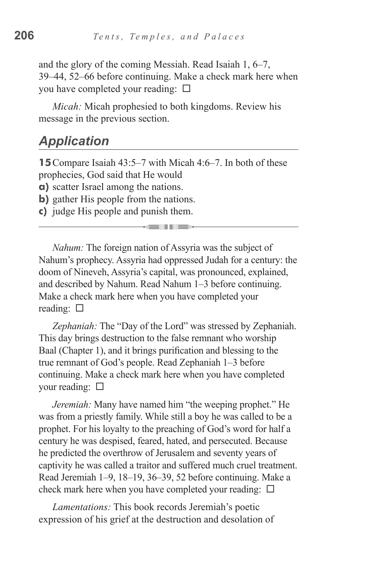and the glory of the coming Messiah. Read Isaiah 1, 6–7, 39–44, 52–66 before continuing. Make a check mark here when you have completed your reading:  $\square$ 

*Micah:* Micah prophesied to both kingdoms. Review his message in the previous section.

#### *Application*

**15**Compare Isaiah 43:5–7 with Micah 4:6–7. In both of these prophecies, God said that He would

**a)** scatter Israel among the nations.

- **b**) gather His people from the nations.
- **c)** judge His people and punish them.

*Nahum:* The foreign nation of Assyria was the subject of Nahum's prophecy. Assyria had oppressed Judah for a century: the doom of Nineveh, Assyria's capital, was pronounced, explained, and described by Nahum. Read Nahum 1–3 before continuing. Make a check mark here when you have completed your reading:  $\square$ 

*Zephaniah:* The "Day of the Lord" was stressed by Zephaniah. This day brings destruction to the false remnant who worship Baal (Chapter 1), and it brings purification and blessing to the true remnant of God's people. Read Zephaniah 1–3 before continuing. Make a check mark here when you have completed your reading:  $\square$ 

*Jeremiah:* Many have named him "the weeping prophet." He was from a priestly family. While still a boy he was called to be a prophet. For his loyalty to the preaching of God's word for half a century he was despised, feared, hated, and persecuted. Because he predicted the overthrow of Jerusalem and seventy years of captivity he was called a traitor and suffered much cruel treatment. Read Jeremiah 1–9, 18–19, 36–39, 52 before continuing. Make a check mark here when you have completed your reading:  $\Box$ 

*Lamentations:* This book records Jeremiah's poetic expression of his grief at the destruction and desolation of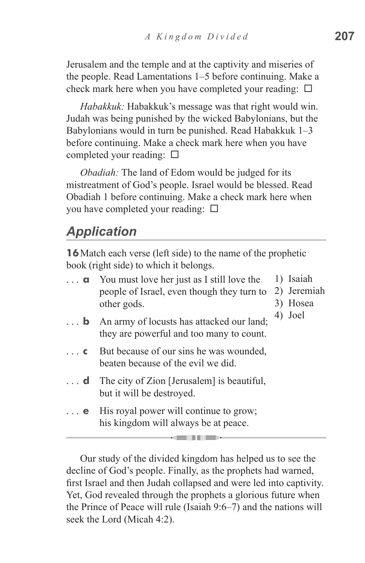Jerusalem and the temple and at the captivity and miseries of the people. Read Lamentations 1–5 before continuing. Make a check mark here when you have completed your reading:  $\square$ 

*Habakkuk:* Habakkuk's message was that right would win. Judah was being punished by the wicked Babylonians, but the Babylonians would in turn be punished. Read Habakkuk 1–3 before continuing. Make a check mark here when you have completed your reading:  $\square$ 

*Obadiah:* The land of Edom would be judged for its mistreatment of God's people. Israel would be blessed. Read Obadiah 1 before continuing. Make a check mark here when you have completed your reading:  $\square$ 

# *Application*

**16**Match each verse (left side) to the name of the prophetic book (right side) to which it belongs.

| . <b>a</b> . | You must love her just as I still love the |
|--------------|--------------------------------------------|
|              | people of Israel, even though they turn to |
|              | other gods.                                |

- 1) Isaiah
- 2) Jeremiah
	- 3) Hosea
- **b** An army of locusts has attacked our land; they are powerful and too many to count. 4) Joel
- **c** But because of our sins he was wounded, beaten because of the evil we did.
- ... **d** The city of Zion [Jerusalem] is beautiful, but it will be destroyed.
- **e** His royal power will continue to grow; his kingdom will always be at peace.

Our study of the divided kingdom has helped us to see the decline of God's people. Finally, as the prophets had warned, first Israel and then Judah collapsed and were led into captivity. Yet, God revealed through the prophets a glorious future when the Prince of Peace will rule (Isaiah 9:6–7) and the nations will seek the Lord (Micah 4:2).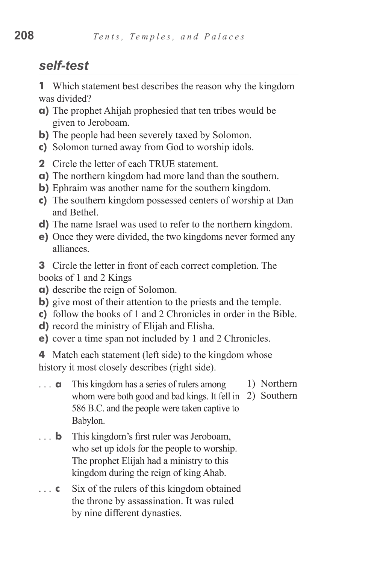# *self-test*

**1** Which statement best describes the reason why the kingdom was divided?

- **a)** The prophet Ahijah prophesied that ten tribes would be given to Jeroboam.
- **b**) The people had been severely taxed by Solomon.
- **c)** Solomon turned away from God to worship idols.
- **2** Circle the letter of each TRUE statement.
- **a)** The northern kingdom had more land than the southern.
- **b)** Ephraim was another name for the southern kingdom.
- **c)** The southern kingdom possessed centers of worship at Dan and Bethel.
- **d)** The name Israel was used to refer to the northern kingdom.
- **e)** Once they were divided, the two kingdoms never formed any alliances.
- **3** Circle the letter in front of each correct completion. The books of 1 and 2 Kings
- **a)** describe the reign of Solomon.
- **b**) give most of their attention to the priests and the temple.
- **c)** follow the books of 1 and 2 Chronicles in order in the Bible.
- **d)** record the ministry of Elijah and Elisha.
- **e)** cover a time span not included by 1 and 2 Chronicles.

**4** Match each statement (left side) to the kingdom whose history it most closely describes (right side).

- **a** This kingdom has a series of rulers among whom were both good and bad kings. It fell in 2) Southern 586 B.C. and the people were taken captive to Babylon. 1) Northern
- **b** This kingdom's first ruler was Jeroboam, who set up idols for the people to worship. The prophet Elijah had a ministry to this kingdom during the reign of king Ahab.
- ... **c** Six of the rulers of this kingdom obtained the throne by assassination. It was ruled by nine different dynasties.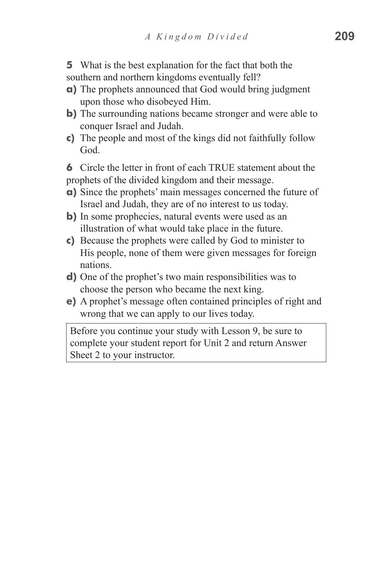**5** What is the best explanation for the fact that both the southern and northern kingdoms eventually fell?

- **a)** The prophets announced that God would bring judgment upon those who disobeyed Him.
- **b**) The surrounding nations became stronger and were able to conquer Israel and Judah.
- **c)** The people and most of the kings did not faithfully follow God.

**6** Circle the letter in front of each TRUE statement about the prophets of the divided kingdom and their message.

- **a)** Since the prophets' main messages concerned the future of Israel and Judah, they are of no interest to us today.
- **b**) In some prophecies, natural events were used as an illustration of what would take place in the future.
- **c)** Because the prophets were called by God to minister to His people, none of them were given messages for foreign nations.
- **d)** One of the prophet's two main responsibilities was to choose the person who became the next king.
- **e)** A prophet's message often contained principles of right and wrong that we can apply to our lives today.

Before you continue your study with Lesson 9, be sure to complete your student report for Unit 2 and return Answer Sheet 2 to your instructor.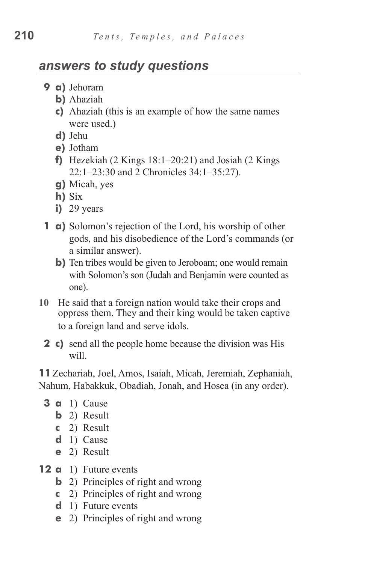## *answers to study questions*

- **9 a)** Jehoram
	- **b)** Ahaziah
	- **c)** Ahaziah (this is an example of how the same names were used.)
	- **d)** Jehu
	- **e)** Jotham
	- **f**) Hezekiah (2 Kings  $18:1-20:21$ ) and Josiah (2 Kings 22:1–23:30 and 2 Chronicles 34:1–35:27).
	- **g)** Micah, yes
	- **h)** Six
	- **i**) 29 years
- **1 a)** Solomon's rejection of the Lord, his worship of other gods, and his disobedience of the Lord's commands (or a similar answer).
	- **b**) Ten tribes would be given to Jeroboam; one would remain with Solomon's son (Judah and Benjamin were counted as one).
- **10** He said that a foreign nation would take their crops and oppress them. They and their king would be taken captive to a foreign land and serve idols.
	- **2** c) send all the people home because the division was His will.

**11**Zechariah, Joel, Amos, Isaiah, Micah, Jeremiah, Zephaniah, Nahum, Habakkuk, Obadiah, Jonah, and Hosea (in any order).

- **3 a** 1) Cause
	- **b** 2) Result
	- **c**  2) Result
	- **d**  1) Cause
	- **e**  2) Result
- **12 a** 1) Future events
	- **b** 2) Principles of right and wrong
	- **c**  2) Principles of right and wrong
	- **d** 1) Future events
	- **e** 2) Principles of right and wrong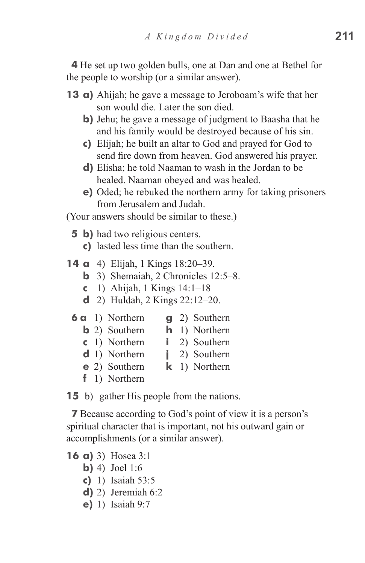**4** He set up two golden bulls, one at Dan and one at Bethel for the people to worship (or a similar answer).

- **13 a)** Ahijah; he gave a message to Jeroboam's wife that her son would die. Later the son died.
	- **b**) Jehu; he gave a message of judgment to Baasha that he and his family would be destroyed because of his sin.
	- **c)** Elijah; he built an altar to God and prayed for God to send fire down from heaven. God answered his prayer.
	- **d**) Elisha; he told Naaman to wash in the Jordan to be healed. Naaman obeyed and was healed.
	- **e)** Oded; he rebuked the northern army for taking prisoners from Jerusalem and Judah.

(Your answers should be similar to these.)

- **5 b**) had two religious centers.
	- **c)**  lasted less time than the southern.
- **14 a** 4) Elijah, 1 Kings 18:20–39.
	- **b** 3) Shemaiah, 2 Chronicles 12:5–8.
	- **c**  1) Ahijah, 1 Kings 14:1–18
	- **d**  2) Huldah, 2 Kings 22:12–20.
	- **6 a** 1) Northern **g** 2) Southern
		- **b** 2) Southern **h** 1) Northern
		- **c**  1) Northern **i** 2) Southern
		- **d** 1) Northern **j** 2) Southern
		- **e** 2) Southern **k** 1) Northern
		- **f** 1) Northern

**15** b) gather His people from the nations.

**7** Because according to God's point of view it is a person's spiritual character that is important, not his outward gain or accomplishments (or a similar answer).

- **16 a)** 3) Hosea 3:1
	- **b**) 4) Joel 1:6
	- **c)**  1) Isaiah 53:5
	- **d**) 2) Jeremiah 6:2
	- **e**) 1) Isaiah 9:7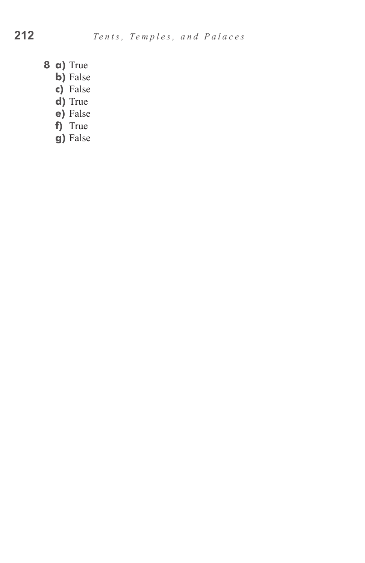- **8 a)** True
	- **b)** False
	- **c)**  False
	- d) True
	- **e)** False
	- f) True
	- **g)** False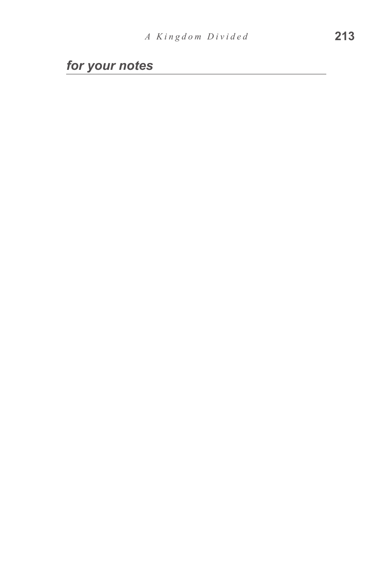*for your notes*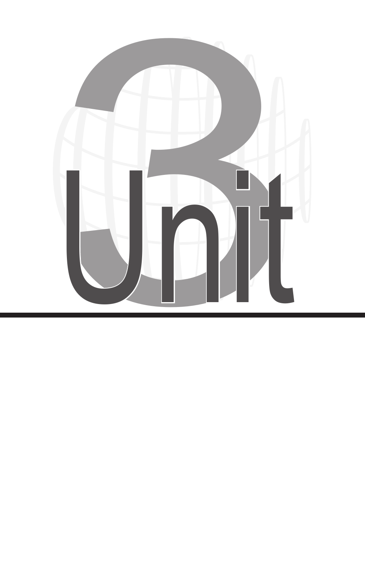